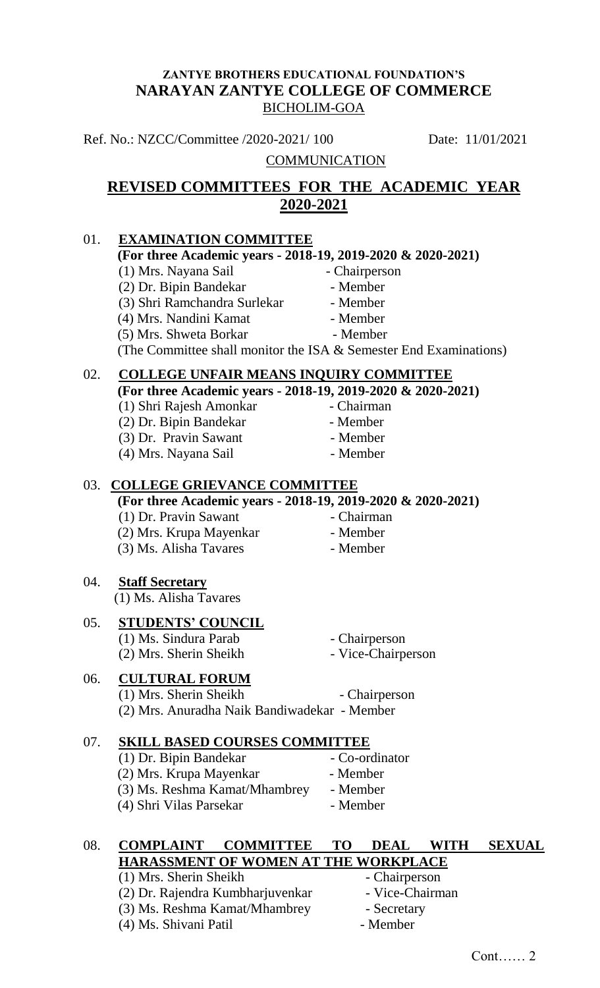#### **ZANTYE BROTHERS EDUCATIONAL FOUNDATION'S NARAYAN ZANTYE COLLEGE OF COMMERCE** BICHOLIM-GOA

Ref. No.: NZCC/Committee /2020-2021/ 100 Date: 11/01/2021

#### **COMMUNICATION**

# **REVISED COMMITTEES FOR THE ACADEMIC YEAR 2020-2021**

# 01. **EXAMINATION COMMITTEE (For three Academic years - 2018-19, 2019-2020 & 2020-2021)** (1) Mrs. Nayana Sail - Chairperson (2) Dr. Bipin Bandekar - Member (3) Shri Ramchandra Surlekar - Member (4) Mrs. Nandini Kamat - Member (5) Mrs. Shweta Borkar - Member (The Committee shall monitor the ISA & Semester End Examinations) 02. **COLLEGE UNFAIR MEANS INQUIRY COMMITTEE (For three Academic years - 2018-19, 2019-2020 & 2020-2021)** (1) Shri Rajesh Amonkar - Chairman (2) Dr. Bipin Bandekar - Member (3) Dr. Pravin Sawant - Member<br>
(4) Mrs. Navana Sail - Member  $(4)$  Mrs. Nayana Sail 03. **COLLEGE GRIEVANCE COMMITTEE (For three Academic years - 2018-19, 2019-2020 & 2020-2021)** (1) Dr. Pravin Sawant - Chairman (2) Mrs. Krupa Mayenkar - Member (3) Ms. Alisha Tavares - Member 04. **Staff Secretary** (1) Ms. Alisha Tavares 05. **STUDENTS' COUNCIL** (1) Ms. Sindura Parab - Chairperson (2) Mrs. Sherin Sheikh - Vice-Chairperson 06. **CULTURAL FORUM** (1) Mrs. Sherin Sheikh - Chairperson (2) Mrs. Anuradha Naik Bandiwadekar - Member 07. **SKILL BASED COURSES COMMITTEE** (1) Dr. Bipin Bandekar - Co-ordinator (2) Mrs. Krupa Mayenkar - Member (3) Ms. Reshma Kamat/Mhambrey - Member (4) Shri Vilas Parsekar - Member 08. **COMPLAINT COMMITTEE TO DEAL WITH SEXUAL HARASSMENT OF WOMEN AT THE WORKPLACE**<br>(1) Mrs. Sherin Sheikh - Chairperson

- (1) Mrs. Sherin Sheikh (2) Dr. Rajendra Kumbharjuvenkar - Vice-Chairman (3) Ms. Reshma Kamat/Mhambrey - Secretary
- (4) Ms. Shivani Patil Member
- 
- 
-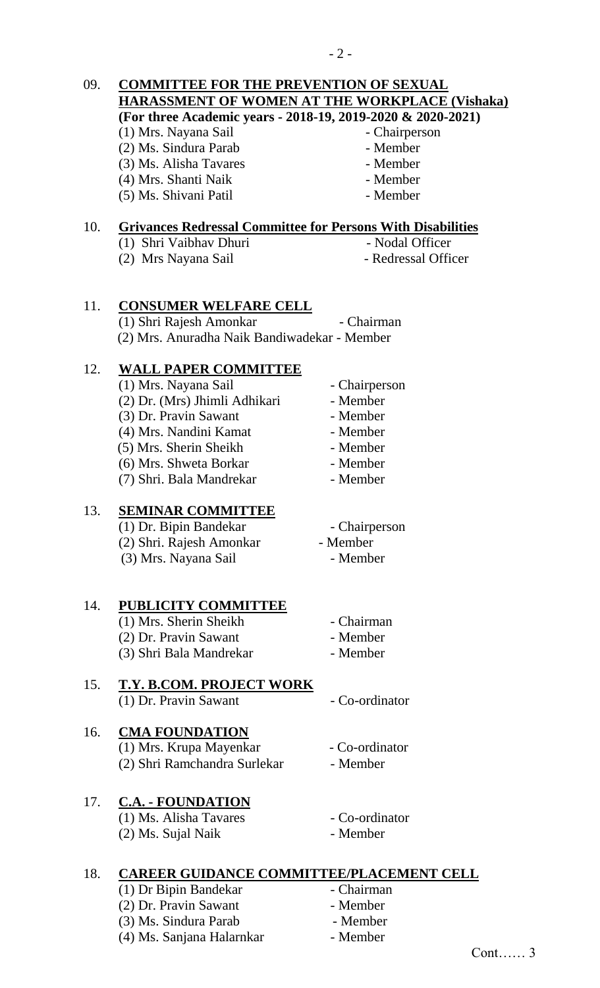#### 09. **COMMITTEE FOR THE PREVENTION OF SEXUAL HARASSMENT OF WOMEN AT THE WORKPLACE (Vishaka) (For three Academic years - 2018-19, 2019-2020 & 2020-2021)** (1) Mrs. Nayana Sail - Chairperson

(2) Ms. Sindura Parab - Member

- (3) Ms. Alisha Tavares Member
- (4) Mrs. Shanti Naik Member
- (5) Ms. Shivani Patil Member
- 
- 
- -

#### 10. **Grivances Redressal Committee for Persons With Disabilities**

- (1) Shri Vaibhav Dhuri Nodal Officer
	-
- (2) Mrs Nayana Sail Redressal Officer

11. **CONSUMER WELFARE CELL** (1) Shri Rajesh Amonkar - Chairman (2) Mrs. Anuradha Naik Bandiwadekar - Member

# 12. **WALL PAPER COMMITTEE**

(1) Mrs. Nayana Sail - Chairperson (2) Dr. (Mrs) Jhimli Adhikari - Member (3) Dr. Pravin Sawant - Member (4) Mrs. Nandini Kamat - Member (5) Mrs. Sherin Sheikh - Member (6) Mrs. Shweta Borkar - Member (7) Shri. Bala Mandrekar - Member

# 13. **SEMINAR COMMITTEE**

(1) Dr. Bipin Bandekar - Chairperson (2) Shri. Rajesh Amonkar - Member (3) Mrs. Nayana Sail - Member

### 14. **PUBLICITY COMMITTEE**

(1) Mrs. Sherin Sheikh - Chairman (2) Dr. Pravin Sawant - Member (3) Shri Bala Mandrekar - Member

#### 15. **T.Y. B.COM. PROJECT WORK** (1) Dr. Pravin Sawant - Co-ordinator

# 16. **CMA FOUNDATION**

(1) Mrs. Krupa Mayenkar - Co-ordinator (2) Shri Ramchandra Surlekar - Member

#### 17. **C.A. - FOUNDATION** (1) Ms. Alisha Tavares - Co-ordinator

- (2) Ms. Sujal Naik Member
- 

# 18. **CAREER GUIDANCE COMMITTEE/PLACEMENT CELL**

(1) Dr Bipin Bandekar - Chairman (2) Dr. Pravin Sawant - Member (3) Ms. Sindura Parab - Member (4) Ms. Sanjana Halarnkar - Member

- 
- 
- -
	-
	-
	-
	-

- 
- 
- -
-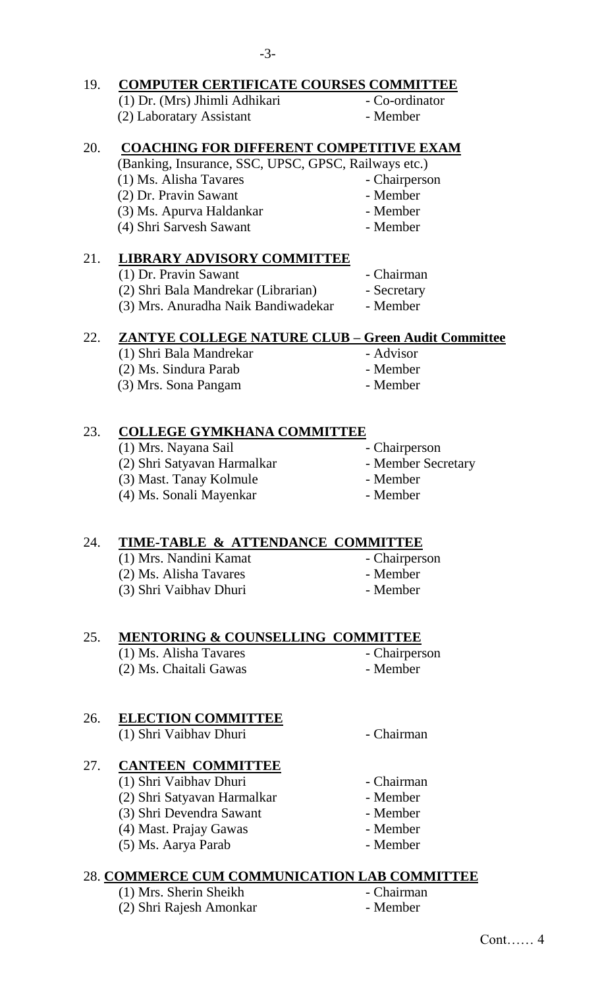## 19. **COMPUTER CERTIFICATE COURSES COMMITTEE**

- (1) Dr. (Mrs) Jhimli Adhikari Co-ordinator (2) Laboratary Assistant - Member
- -

## 20. **COACHING FOR DIFFERENT COMPETITIVE EXAM**

(Banking, Insurance, SSC, UPSC, GPSC, Railways etc.)

- (1) Ms. Alisha Tavares Chairperson
- (2) Dr. Pravin Sawant Member
- (3) Ms. Apurva Haldankar Member
- 
- (4) Shri Sarvesh Sawant Member
- 

# 21. **LIBRARY ADVISORY COMMITTEE**

- (1) Dr. Pravin Sawant Chairman
	-
- (2) Shri Bala Mandrekar (Librarian) Secretary (3) Mrs. Anuradha Naik Bandiwadekar - Member

# 22. **ZANTYE COLLEGE NATURE CLUB – Green Audit Committee**

- (1) Shri Bala Mandrekar Advisor
- (2) Ms. Sindura Parab Member
- (3) Mrs. Sona Pangam Member
	-

# 23. **COLLEGE GYMKHANA COMMITTEE**

- (1) Mrs. Nayana Sail Chairperson
- (2) Shri Satyavan Harmalkar Member Secretary
- (3) Mast. Tanay Kolmule Member
- (4) Ms. Sonali Mayenkar Member
- 
- 
- 
- 

# 24. **TIME-TABLE & ATTENDANCE COMMITTEE**

- (1) Mrs. Nandini Kamat Chairperson (2) Ms. Alisha Tavares - Member
- (3) Shri Vaibhav Dhuri Member
- 
- -

### 25. **MENTORING & COUNSELLING COMMITTEE**

(1) Ms. Alisha Tavares - Chairperson (2) Ms. Chaitali Gawas - Member

# 26. **ELECTION COMMITTEE**

(1) Shri Vaibhav Dhuri - Chairman

# 27. **CANTEEN COMMITTEE**

- (1) Shri Vaibhav Dhuri Chairman
- (2) Shri Satyavan Harmalkar Member
- (3) Shri Devendra Sawant Member
- (4) Mast. Prajay Gawas Member
- (5) Ms. Aarya Parab Member

# 28. **COMMERCE CUM COMMUNICATION LAB COMMITTEE**

- (1) Mrs. Sherin Sheikh Chairman
- (2) Shri Rajesh Amonkar Member
- 
- 
- - -
		-
		-
		-
		-
		-
		-

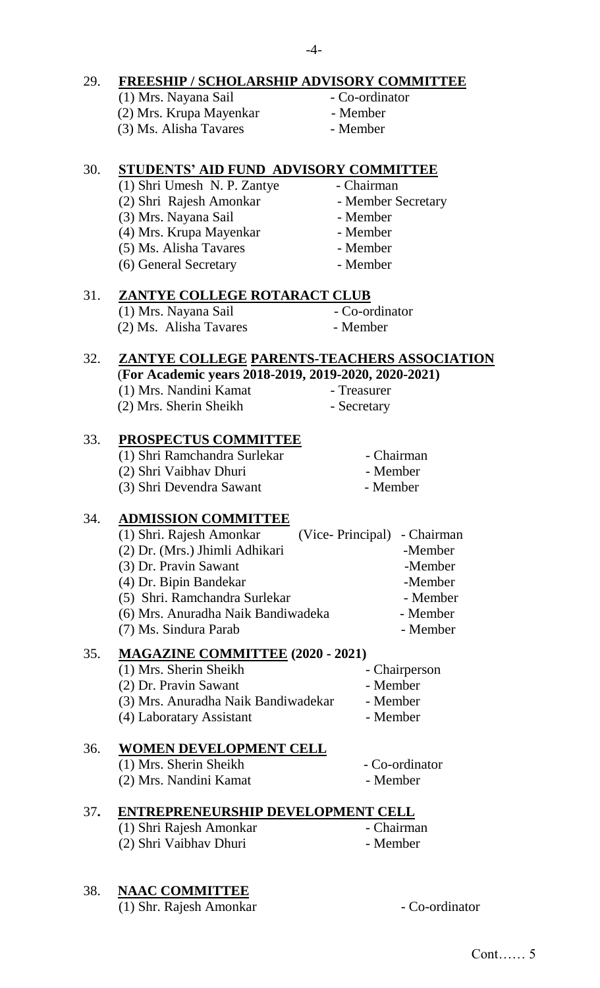# 29. **FREESHIP / SCHOLARSHIP ADVISORY COMMITTEE**

- (1) Mrs. Nayana Sail Co-ordinator<br>
(2) Mrs. Krupa Mayenkar Member  $(2)$  Mrs. Krupa Mayenkar (3) Ms. Alisha Tavares - Member
	-
	-

## 30. **STUDENTS' AID FUND ADVISORY COMMITTEE**

- (1) Shri Umesh N. P. Zantye Chairman
- (2) Shri Rajesh Amonkar Member Secretary
- (3) Mrs. Nayana Sail Member
- (4) Mrs. Krupa Mayenkar Member
- (5) Ms. Alisha Tavares Member
- (6) General Secretary Member

# 31. **ZANTYE COLLEGE ROTARACT CLUB**

- (1) Mrs. Nayana Sail Co-ordinator (2) Ms. Alisha Tavares - Member
- -

#### 32. **ZANTYE COLLEGE PARENTS-TEACHERS ASSOCIATION** (**For Academic years 2018-2019, 2019-2020, 2020-2021)**

(1) Mrs. Nandini Kamat - Treasurer

(2) Mrs. Sherin Sheikh - Secretary

### 33. **PROSPECTUS COMMITTEE**

(1) Shri Ramchandra Surlekar - Chairman (2) Shri Vaibhav Dhuri - Member (3) Shri Devendra Sawant - Member

### 34. **ADMISSION COMMITTEE**

| (1) Shri. Rajesh Amonkar           | (Vice-Principal) - Chairman |          |
|------------------------------------|-----------------------------|----------|
| (2) Dr. (Mrs.) Jhimli Adhikari     |                             | -Member  |
| (3) Dr. Pravin Sawant              |                             | -Member  |
| (4) Dr. Bipin Bandekar             |                             | -Member  |
| (5) Shri. Ramchandra Surlekar      |                             | - Member |
| (6) Mrs. Anuradha Naik Bandiwadeka |                             | - Member |
| (7) Ms. Sindura Parab              |                             | - Member |
|                                    |                             |          |

#### 35. **MAGAZINE COMMITTEE (2020 - 2021)**

(1) Mrs. Sherin Sheikh - Chairperson (2) Dr. Pravin Sawant - Member (3) Mrs. Anuradha Naik Bandiwadekar - Member (4) Laboratary Assistant - Member

## 36. **WOMEN DEVELOPMENT CELL**

| (1) Mrs. Sherin Sheikh | - Co-ordinator |
|------------------------|----------------|
| (2) Mrs. Nandini Kamat | - Member       |

#### 37**. ENTREPRENEURSHIP DEVELOPMENT CELL**

(1) Shri Rajesh Amonkar - Chairman (2) Shri Vaibhav Dhuri - Member

### 38. **NAAC COMMITTEE**

(1) Shr. Rajesh Amonkar - Co-ordinator

 $-4-$ 

- 
- 
- 
- 
- - -
		- - -
				-
				- -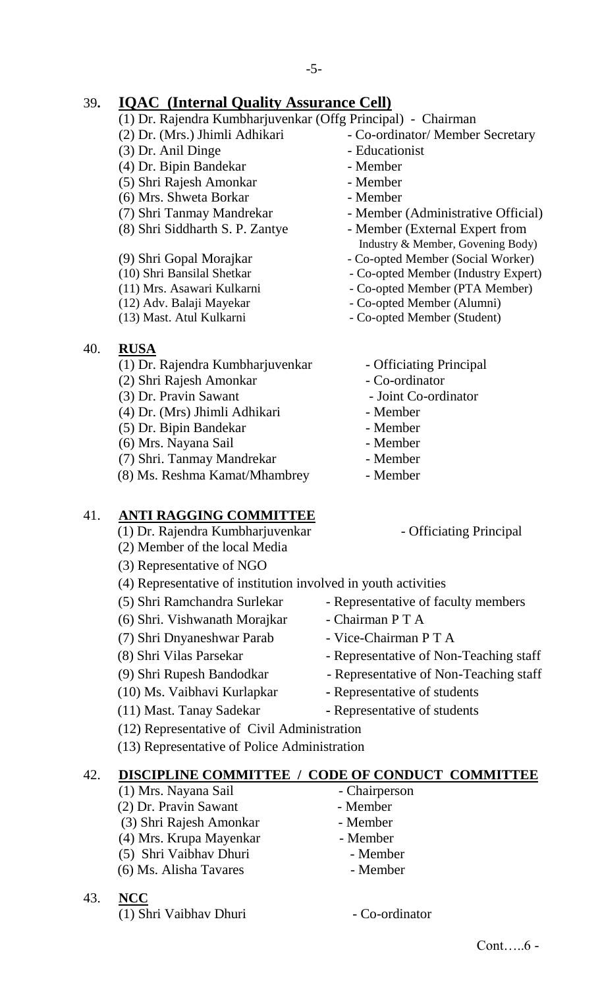# 39**. IQAC (Internal Quality Assurance Cell)**

- (1) Dr. Rajendra Kumbharjuvenkar (Offg Principal) Chairman
	- (2) Dr. (Mrs.) Jhimli Adhikari Co-ordinator/ Member Secretary
	- (3) Dr. Anil Dinge Educationist
	- (4) Dr. Bipin Bandekar Member
	- (5) Shri Rajesh Amonkar Member
	- (6) Mrs. Shweta Borkar Member
	-
	-
	-
	-
	-
	-
	-
- 40. **RUSA**
	- (1) Dr. Rajendra Kumbharjuvenkar Officiating Principal
	- (2) Shri Rajesh Amonkar Co-ordinator
	- (3) Dr. Pravin Sawant Joint Co-ordinator
	- (4) Dr. (Mrs) Jhimli Adhikari Member
	- (5) Dr. Bipin Bandekar Member
	- (6) Mrs. Nayana Sail Member
	- (7) Shri. Tanmay Mandrekar Member
	- (8) Ms. Reshma Kamat/Mhambrey Member

### 41. **ANTI RAGGING COMMITTEE**

- (1) Dr. Rajendra Kumbharjuvenkar Officiating Principal
- (2) Member of the local Media
- (3) Representative of NGO
- (4) Representative of institution involved in youth activities
- 
- (6) Shri. Vishwanath Morajkar Chairman P T A
- (7) Shri Dnyaneshwar Parab Vice-Chairman P T A
- 
- 
- (10) Ms. Vaibhavi Kurlapkar **-** Representative of students
- 
- 
- (12) Representative of Civil Administration
- (13) Representative of Police Administration

#### 42. **DISCIPLINE COMMITTEE / CODE OF CONDUCT COMMITTEE**

- (1) Mrs. Nayana Sail Chairperson
- (2) Dr. Pravin Sawant Member
- (3) Shri Rajesh Amonkar Member
- (4) Mrs. Krupa Mayenkar Member
- (5) Shri Vaibhav Dhuri Member
- (6) Ms. Alisha Tavares Member
- 43. **NCC**
	- (1) Shri Vaibhav Dhuri Co-ordinator
- 
- 
- 
- 
- 
- 
- (7) Shri Tanmay Mandrekar Member (Administrative Official)
- (8) Shri Siddharth S. P. Zantye Member (External Expert from Industry & Member, Govening Body)
- (9) Shri Gopal Morajkar Co-opted Member (Social Worker)
- (10) Shri Bansilal Shetkar Co-opted Member (Industry Expert)
- (11) Mrs. Asawari Kulkarni Co-opted Member (PTA Member)
- (12) Adv. Balaji Mayekar Co-opted Member (Alumni)
- (13) Mast. Atul Kulkarni Co-opted Member (Student)
	-
	-
	-
	-
	-
	-
	-
	- -

Cont…..6 -

- 
- (5) Shri Ramchandra Surlekar Representative of faculty members
	-
	-
- (8) Shri Vilas Parsekar Representative of Non-Teaching staff
- (9) Shri Rupesh Bandodkar Representative of Non-Teaching staff
	-
	-
- -
	-
	-
- (11) Mast. Tanay Sadekar **-** Representative of students
- -

- 
- 
- 
- 
- -
	-
- 
-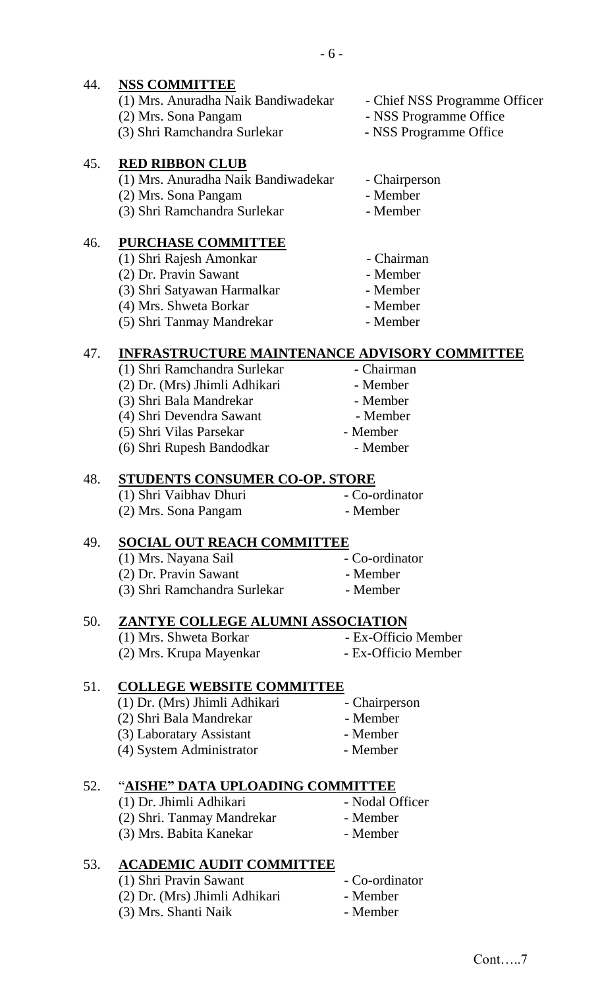### 44. **NSS COMMITTEE**

| (1) Mrs. Anuradha Naik Bandiwadekar | - Chief NSS Programme Officer |
|-------------------------------------|-------------------------------|
| (2) Mrs. Sona Pangam                | - NSS Programme Office        |
| (3) Shri Ramchandra Surlekar        | - NSS Programme Office        |
|                                     |                               |

#### 45. **RED RIBBON CLUB**

| (1) Mrs. Anuradha Naik Bandiwadekar | - Chairperson |
|-------------------------------------|---------------|
| (2) Mrs. Sona Pangam                | - Member      |
| (3) Shri Ramchandra Surlekar        | - Member      |

#### 46. **PURCHASE COMMITTEE**

- (1) Shri Rajesh Amonkar Chairman (2) Dr. Pravin Sawant - Member (3) Shri Satyawan Harmalkar - Member (4) Mrs. Shweta Borkar - Member (5) Shri Tanmay Mandrekar - Member
	-
	-
	-
	-

#### 47. **INFRASTRUCTURE MAINTENANCE ADVISORY COMMITTEE**

- (1) Shri Ramchandra Surlekar Chairman
- (2) Dr. (Mrs) Jhimli Adhikari Member
- (3) Shri Bala Mandrekar Member
- (4) Shri Devendra Sawant Member
- (5) Shri Vilas Parsekar Member
- (6) Shri Rupesh Bandodkar Member

#### 48. **STUDENTS CONSUMER CO-OP. STORE**

| (1) Shri Vaibhav Dhuri | - Co-ordinator |
|------------------------|----------------|
| (2) Mrs. Sona Pangam   | - Member       |

#### 49. **SOCIAL OUT REACH COMMITTEE**

| (1) Mrs. Nayana Sail         | - Co-ordinator |
|------------------------------|----------------|
| (2) Dr. Pravin Sawant        | - Member       |
| (3) Shri Ramchandra Surlekar | - Member       |

#### 50. **ZANTYE COLLEGE ALUMNI ASSOCIATION**

- (1) Mrs. Shweta Borkar Ex-Officio Member (2) Mrs. Krupa Mayenkar - Ex-Officio Member
- 

## 51. **COLLEGE WEBSITE COMMITTEE**

| (1) Dr. (Mrs) Jhimli Adhikari | - Chairperson |
|-------------------------------|---------------|
| (2) Shri Bala Mandrekar       | - Member      |
| (3) Laboratary Assistant      | - Member      |
| (4) System Administrator      | - Member      |

#### 52. "**AISHE" DATA UPLOADING COMMITTEE**

- (1) Dr. Jhimli Adhikari Nodal Officer (2) Shri. Tanmay Mandrekar - Member (3) Mrs. Babita Kanekar - Member
- 53. **ACADEMIC AUDIT COMMITTEE**
	- (1) Shri Pravin Sawant Co-ordinator (2) Dr. (Mrs) Jhimli Adhikari - Member (3) Mrs. Shanti Naik - Member
- Cont…..7
- 
- 
- 
- 
-